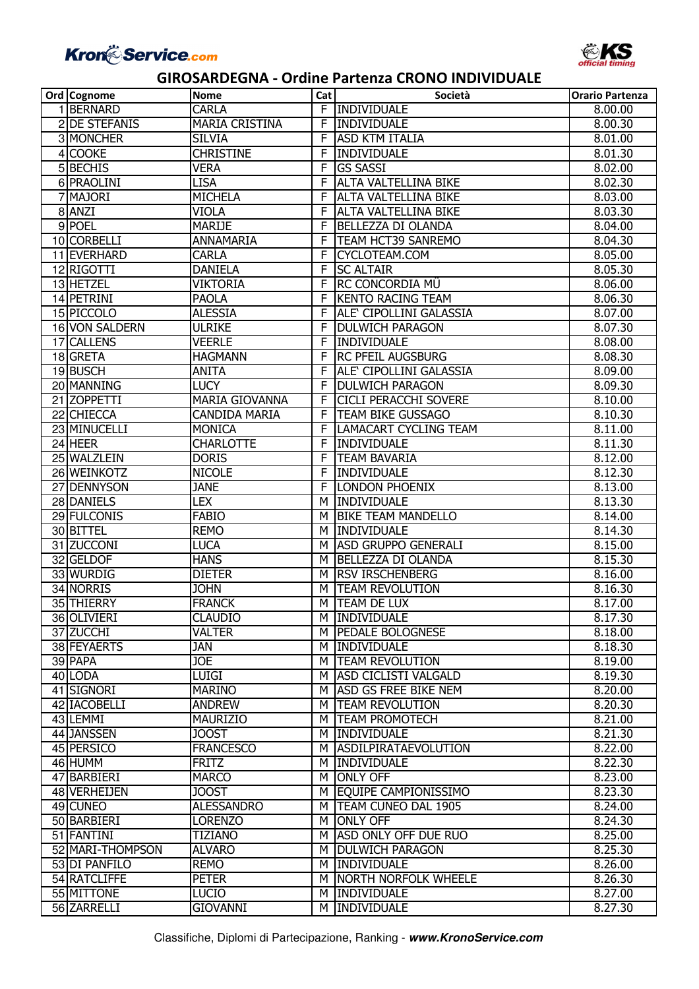

| Ord Cognome              | <b>Nome</b>                     | Cat | Società                                  | <b>Orario Partenza</b> |
|--------------------------|---------------------------------|-----|------------------------------------------|------------------------|
| 1 <b>BERNARD</b>         | <b>CARLA</b>                    |     | F INDIVIDUALE                            | 8.00.00                |
| 2 DE STEFANIS            | <b>MARIA CRISTINA</b>           | F   | INDIVIDUALE                              | 8.00.30                |
| 3 MONCHER                | <b>SILVIA</b>                   | F   | <b>ASD KTM ITALIA</b>                    | 8.01.00                |
| 4 COOKE                  | <b>CHRISTINE</b>                | F   | <b>INDIVIDUALE</b>                       | 8.01.30                |
| 5 BECHIS                 | <b>VERA</b>                     | F   | <b>GS SASSI</b>                          | 8.02.00                |
| 6 PRAOLINI               | <b>LISA</b>                     | F   | <b>ALTA VALTELLINA BIKE</b>              | 8.02.30                |
| 7 MAJORI                 | <b>MICHELA</b>                  | F   | <b>ALTA VALTELLINA BIKE</b>              | 8.03.00                |
| 8 ANZI                   | VIOLA                           | F   | <b>ALTA VALTELLINA BIKE</b>              | 8.03.30                |
| 9 POEL                   | <b>MARIJE</b>                   | F   | BELLEZZA DI OLANDA                       | 8.04.00                |
| 10 CORBELLI              | ANNAMARIA                       | F   | TEAM HCT39 SANREMO                       | 8.04.30                |
| 11 EVERHARD              | <b>CARLA</b>                    | F   | CYCLOTEAM.COM                            | 8.05.00                |
| 12 RIGOTTI               | <b>DANIELA</b>                  | F   | <b>SC ALTAIR</b>                         | 8.05.30                |
| 13 HETZEL                | <b>VIKTORIA</b>                 | F   | RC CONCORDIA MÜ                          | 8.06.00                |
| 14 PETRINI               | <b>PAOLA</b>                    | F   | <b>KENTO RACING TEAM</b>                 | 8.06.30                |
| 15 PICCOLO               | <b>ALESSIA</b>                  | F   | ALE' CIPOLLINI GALASSIA                  | 8.07.00                |
| 16 VON SALDERN           | <b>ULRIKE</b>                   | F   | <b>DULWICH PARAGON</b>                   | 8.07.30                |
| <b>17 CALLENS</b>        | <b>VEERLE</b>                   | F   | INDIVIDUALE                              | 8.08.00                |
| 18 GRETA                 | <b>HAGMANN</b>                  | F   | <b>RC PFEIL AUGSBURG</b>                 | 8.08.30                |
| 19 BUSCH                 | <b>ANITA</b>                    | F   | <b>ALE' CIPOLLINI GALASSIA</b>           | 8.09.00                |
| 20 MANNING               | <b>LUCY</b>                     | F   | <b>DULWICH PARAGON</b>                   | 8.09.30                |
| 21 ZOPPETTI              | <b>MARIA GIOVANNA</b>           | F   | <b>CICLI PERACCHI SOVERE</b>             | 8.10.00                |
| 22 CHIECCA               | <b>CANDIDA MARIA</b>            | F   | <b>TEAM BIKE GUSSAGO</b>                 | 8.10.30                |
| 23 MINUCELLI             | MONICA                          | F   | <b>LAMACART CYCLING TEAM</b>             | 8.11.00                |
| 24 HEER                  | <b>CHARLOTTE</b>                | F   | INDIVIDUALE                              | 8.11.30                |
| 25 WALZLEIN              | <b>DORIS</b>                    | F   | <b>TEAM BAVARIA</b>                      | 8.12.00                |
| 26 WEINKOTZ              | <b>NICOLE</b>                   | F   | INDIVIDUALE                              | 8.12.30                |
| 27 DENNYSON              | <b>JANE</b>                     | F   | <b>LONDON PHOENIX</b>                    | 8.13.00                |
| 28 DANIELS               | <b>LEX</b>                      | м   | INDIVIDUALE                              | 8.13.30                |
| 29 FULCONIS              | <b>FABIO</b>                    | м   | <b>BIKE TEAM MANDELLO</b>                | 8.14.00                |
| 30 BITTEL                | <b>REMO</b>                     | M   | <b>INDIVIDUALE</b>                       | 8.14.30                |
| 31 ZUCCONI               | <b>LUCA</b>                     | м   | <b>ASD GRUPPO GENERALI</b>               | 8.15.00                |
| 32 GELDOF                | <b>HANS</b>                     | м   | BELLEZZA DI OLANDA                       | 8.15.30                |
| 33 WURDIG                | <b>DIETER</b>                   | м   | <b>RSV IRSCHENBERG</b>                   | 8.16.00                |
| 34 NORRIS                | <b>JOHN</b>                     | М   | <b>TEAM REVOLUTION</b>                   | 8.16.30                |
| 35 THIERRY               | <b>FRANCK</b>                   | м   | TEAM DE LUX                              | 8.17.00                |
|                          |                                 |     |                                          |                        |
| 36 OLIVIERI              | <b>CLAUDIO</b><br><b>VALTER</b> |     | M INDIVIDUALE<br><b>PEDALE BOLOGNESE</b> | 8.17.30                |
| 37 ZUCCHI<br>38 FEYAERTS |                                 | м   | <b>INDIVIDUALE</b>                       | 8.18.00                |
|                          | <b>JAN</b>                      | м   |                                          | 8.18.30<br>8.19.00     |
| 39 PAPA                  | <b>JOE</b>                      | м   | <b>TEAM REVOLUTION</b>                   |                        |
| 40 LODA                  | <b>LUIGI</b>                    | м   | <b>ASD CICLISTI VALGALD</b>              | 8.19.30                |
| 41 SIGNORI               | <b>MARINO</b>                   | M   | <b>ASD GS FREE BIKE NEM</b>              | 8.20.00                |
| 42 IACOBELLI             | <b>ANDREW</b>                   | M   | <b>TEAM REVOLUTION</b>                   | 8.20.30                |
| 43 LEMMI                 | <b>MAURIZIO</b>                 | м   | <b>TEAM PROMOTECH</b>                    | 8.21.00                |
| 44 JANSSEN               | <b>JOOST</b>                    | м   | INDIVIDUALE                              | 8.21.30                |
| 45 PERSICO               | <b>FRANCESCO</b>                | м   | <i>ASDILPIRATAEVOLUTION</i>              | 8.22.00                |
| 46 HUMM                  | <b>FRITZ</b>                    | м   | <b>INDIVIDUALE</b>                       | 8.22.30                |
| 47 BARBIERI              | <b>MARCO</b>                    | м   | <b>ONLY OFF</b>                          | 8.23.00                |
| 48 VERHEIJEN             | <b>JOOST</b>                    | M   | EQUIPE CAMPIONISSIMO                     | 8.23.30                |
| 49 CUNEO                 | <b>ALESSANDRO</b>               | м   | <b>TEAM CUNEO DAL 1905</b>               | 8.24.00                |
| 50 BARBIERI              | <b>LORENZO</b>                  | M   | <b>ONLY OFF</b>                          | 8.24.30                |
| 51 FANTINI               | TIZIANO                         | м   | ASD ONLY OFF DUE RUO                     | 8.25.00                |
| 52 MARI-THOMPSON         | ALVARO                          | м   | <b>DULWICH PARAGON</b>                   | 8.25.30                |
| 53 DI PANFILO            | <b>REMO</b>                     | м   | <b>INDIVIDUALE</b>                       | 8.26.00                |
| 54 RATCLIFFE             | <b>PETER</b>                    | м   | NORTH NORFOLK WHEELE                     | 8.26.30                |
| 55 MITTONE               | LUCIO                           | м   | <b>INDIVIDUALE</b>                       | 8.27.00                |
| 56 ZARRELLI              | <b>GIOVANNI</b>                 | м   | INDIVIDUALE                              | 8.27.30                |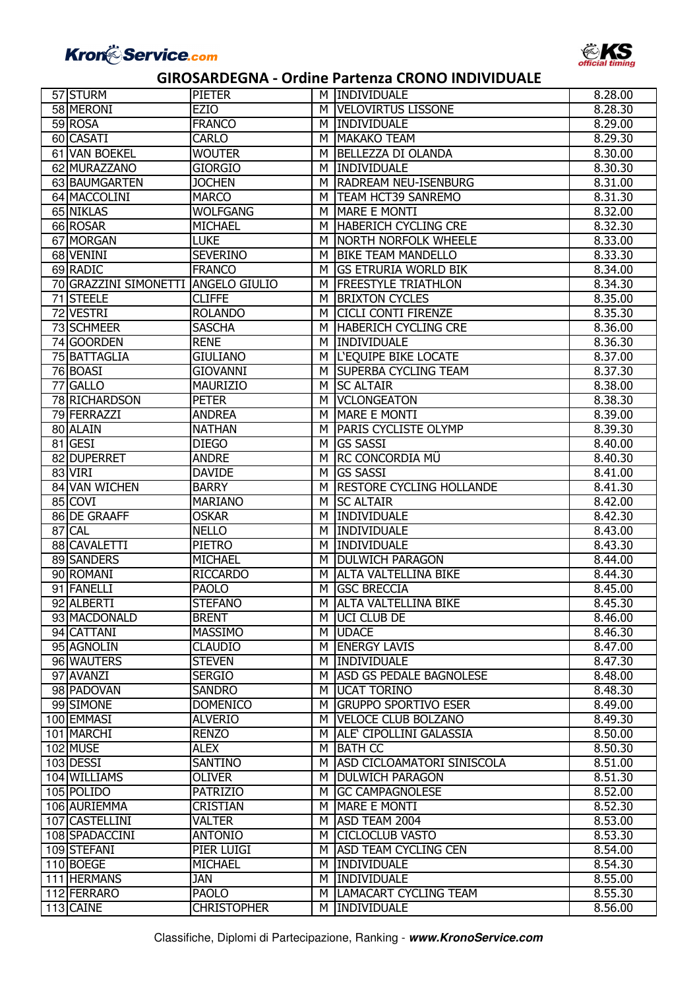

| 57 STURM                   | <b>PIETER</b>                   | м      | <b>INDIVIDUALE</b>                                | 8.28.00            |
|----------------------------|---------------------------------|--------|---------------------------------------------------|--------------------|
| 58 MERONI                  | <b>EZIO</b>                     | м      | <b>VELOVIRTUS LISSONE</b>                         | 8.28.30            |
| 59 ROSA                    | <b>FRANCO</b>                   | м      | INDIVIDUALE                                       | 8.29.00            |
| 60 CASATI                  | <b>CARLO</b>                    | м      | <b>MAKAKO TEAM</b>                                | 8.29.30            |
| 61 VAN BOEKEL              | <b>WOUTER</b>                   | м      | <b>BELLEZZA DI OLANDA</b>                         | 8.30.00            |
| 62 MURAZZANO               | <b>GIORGIO</b>                  | м      | <b>INDIVIDUALE</b>                                | 8.30.30            |
| 63 BAUMGARTEN              | <b>JOCHEN</b>                   | м      | <b>RADREAM NEU-ISENBURG</b>                       | 8.31.00            |
| 64 MACCOLINI               | <b>MARCO</b>                    | м      | <b>TEAM HCT39 SANREMO</b>                         | 8.31.30            |
| 65 NIKLAS                  | <b>WOLFGANG</b>                 | м      | <b>MARE E MONTI</b>                               | 8.32.00            |
| 66 ROSAR                   | <b>MICHAEL</b>                  | M      | <b>HABERICH CYCLING CRE</b>                       | 8.32.30            |
| 67 MORGAN                  | <b>LUKE</b>                     | м      | NORTH NORFOLK WHEELE                              | 8.33.00            |
| 68 VENINI                  | <b>SEVERINO</b>                 | м      | <b>BIKE TEAM MANDELLO</b>                         | 8.33.30            |
| 69 RADIC                   | <b>FRANCO</b>                   | м      | <b>GS ETRURIA WORLD BIK</b>                       | 8.34.00            |
| 70 GRAZZINI SIMONETTI      | <b>ANGELO GIULIO</b>            | м      | <b>FREESTYLE TRIATHLON</b>                        | 8.34.30            |
| 71 STEELE                  | <b>CLIFFE</b>                   | м      | <b>BRIXTON CYCLES</b>                             | 8.35.00            |
| 72 VESTRI                  | <b>ROLANDO</b>                  | м      | <b>CICLI CONTI FIRENZE</b>                        | 8.35.30            |
| 73 SCHMEER                 | <b>SASCHA</b>                   | м      | <b>HABERICH CYCLING CRE</b>                       | 8.36.00            |
| 74 GOORDEN                 | <b>RENE</b>                     | м      | <b>INDIVIDUALE</b>                                | 8.36.30            |
| 75 BATTAGLIA               | <b>GIULIANO</b>                 | M      | <b>L'EQUIPE BIKE LOCATE</b>                       | 8.37.00            |
| 76 BOASI                   | <b>GIOVANNI</b>                 | м      | <b>SUPERBA CYCLING TEAM</b>                       | 8.37.30            |
| 77 GALLO                   | <b>MAURIZIO</b>                 | м      | <b>SC ALTAIR</b>                                  | 8.38.00            |
| 78 RICHARDSON              | <b>PETER</b>                    | м      | <b>VCLONGEATON</b>                                | 8.38.30            |
| 79 FERRAZZI                | <b>ANDREA</b>                   | м      | MARE E MONTI                                      | 8.39.00            |
| 80 ALAIN                   | <b>NATHAN</b>                   | м      | <b>PARIS CYCLISTE OLYMP</b>                       | 8.39.30            |
| 81 GESI                    | <b>DIEGO</b>                    | м      | <b>GS SASSI</b>                                   | 8.40.00            |
| 82 DUPERRET                | <b>ANDRE</b>                    | М      | <b>RC CONCORDIA MÜ</b>                            | 8.40.30            |
| 83 VIRI                    | <b>DAVIDE</b>                   | М      | <b>GS SASSI</b>                                   | 8.41.00            |
| 84 VAN WICHEN              | <b>BARRY</b>                    | м      | <b>RESTORE CYCLING HOLLANDE</b>                   | 8.41.30            |
| 85 COVI                    | <b>MARIANO</b>                  | M      | <b>SC ALTAIR</b>                                  | 8.42.00            |
| 86 DE GRAAFF               | <b>OSKAR</b>                    | м      | <b>INDIVIDUALE</b>                                | 8.42.30            |
| 87 CAL                     | <b>NELLO</b>                    | м      | INDIVIDUALE                                       | 8.43.00            |
| 88 CAVALETTI               | <b>PIETRO</b>                   | м      | INDIVIDUALE                                       | 8.43.30            |
| 89 SANDERS                 | <b>MICHAEL</b>                  | м      | <b>DULWICH PARAGON</b>                            | 8.44.00            |
| 90 ROMANI<br>91 FANELLI    | <b>RICCARDO</b><br><b>PAOLO</b> | м<br>м | <b>ALTA VALTELLINA BIKE</b><br><b>GSC BRECCIA</b> | 8.44.30<br>8.45.00 |
| 92 ALBERTI                 | <b>STEFANO</b>                  | м      | <b>ALTA VALTELLINA BIKE</b>                       | 8.45.30            |
|                            |                                 |        |                                                   |                    |
| 93 MACDONALD<br>94 CATTANI | <b>BRENT</b><br><b>MASSIMO</b>  | м      | M JUCI CLUB DE<br><b>UDACE</b>                    | 8.46.00<br>8.46.30 |
| 95 AGNOLIN                 | <b>CLAUDIO</b>                  | M      | <b>ENERGY LAVIS</b>                               | 8.47.00            |
| 96 WAUTERS                 | <b>STEVEN</b>                   | м      | INDIVIDUALE                                       | 8.47.30            |
| 97 AVANZI                  | <b>SERGIO</b>                   | м      | <b>ASD GS PEDALE BAGNOLESE</b>                    | 8.48.00            |
| 98 PADOVAN                 | <b>SANDRO</b>                   | М      | <b>UCAT TORINO</b>                                | 8.48.30            |
| 99 SIMONE                  | <b>DOMENICO</b>                 | M      | <b>GRUPPO SPORTIVO ESER</b>                       | 8.49.00            |
| 100 EMMASI                 | <b>ALVERIO</b>                  | м      | <b>VELOCE CLUB BOLZANO</b>                        | 8.49.30            |
| 101 MARCHI                 | <b>RENZO</b>                    | м      | ALE' CIPOLLINI GALASSIA                           | 8.50.00            |
| 102 MUSE                   | <b>ALEX</b>                     | м      | <b>BATH CC</b>                                    | 8.50.30            |
| 103 DESSI                  | SANTINO                         | м      | <b>ASD CICLOAMATORI SINISCOLA</b>                 | 8.51.00            |
| 104 WILLIAMS               | <b>OLIVER</b>                   | м      | <b>DULWICH PARAGON</b>                            | 8.51.30            |
| 105 POLIDO                 | <b>PATRIZIO</b>                 | м      | <b>GC CAMPAGNOLESE</b>                            | 8.52.00            |
| 106 AURIEMMA               | <b>CRISTIAN</b>                 | M      | <b>MARE E MONTI</b>                               | 8.52.30            |
| 107 CASTELLINI             | VALTER                          | M      | ASD TEAM 2004                                     | 8.53.00            |
| 108 SPADACCINI             | <b>ANTONIO</b>                  | м      | <b>CICLOCLUB VASTO</b>                            | 8.53.30            |
| 109 STEFANI                | PIER LUIGI                      | м      | <b>ASD TEAM CYCLING CEN</b>                       | 8.54.00            |
| 110 BOEGE                  | <b>MICHAEL</b>                  | м      | <b>INDIVIDUALE</b>                                | 8.54.30            |
| 111 HERMANS                | JAN                             | м      | <b>INDIVIDUALE</b>                                | 8.55.00            |
| 112 FERRARO                | <b>PAOLO</b>                    | м      | <b>LAMACART CYCLING TEAM</b>                      | 8.55.30            |
| 113 CAINE                  | <b>CHRISTOPHER</b>              | м      | <b>INDIVIDUALE</b>                                | 8.56.00            |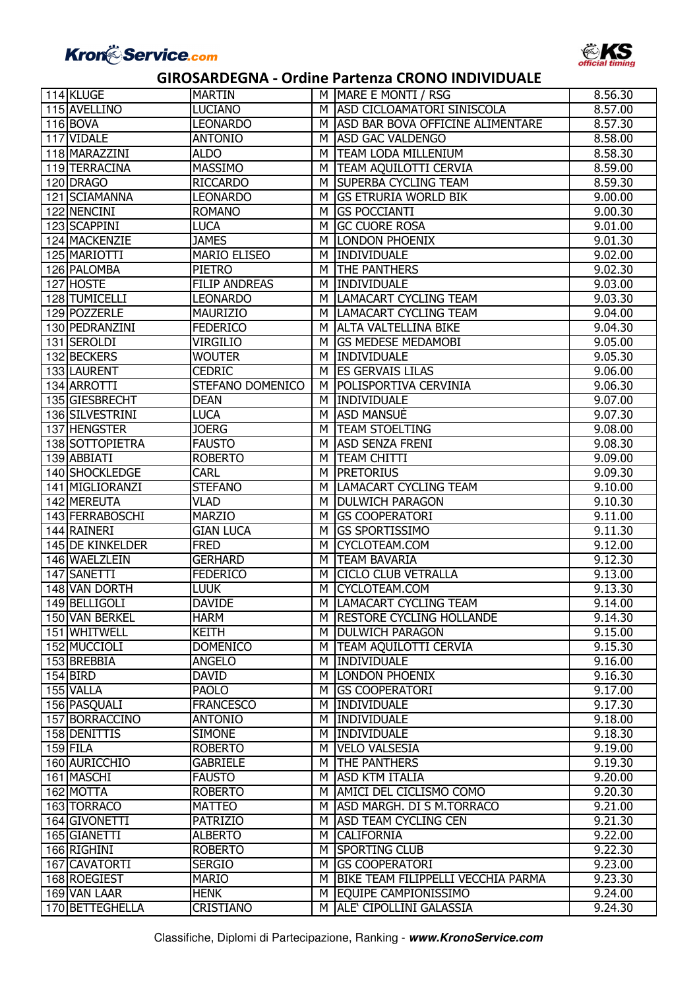

| 114 KLUGE        | <b>MARTIN</b>        | м | MARE E MONTI / RSG                                       | 8.56.30 |
|------------------|----------------------|---|----------------------------------------------------------|---------|
| 115 AVELLINO     | <b>LUCIANO</b>       | м | <b>ASD CICLOAMATORI SINISCOLA</b>                        | 8.57.00 |
| 116 BOVA         | <b>LEONARDO</b>      | м | ASD BAR BOVA OFFICINE ALIMENTARE                         | 8.57.30 |
| 117 VIDALE       | <b>ANTONIO</b>       | м | <b>ASD GAC VALDENGO</b>                                  | 8.58.00 |
| 118 MARAZZINI    | <b>ALDO</b>          | м | <b>TEAM LODA MILLENIUM</b>                               | 8.58.30 |
| 119 TERRACINA    | <b>MASSIMO</b>       | м | <b>TEAM AQUILOTTI CERVIA</b>                             | 8.59.00 |
| 120 DRAGO        | <b>RICCARDO</b>      | м | <b>SUPERBA CYCLING TEAM</b>                              | 8.59.30 |
| 121 SCIAMANNA    | <b>LEONARDO</b>      | м | <b>GS ETRURIA WORLD BIK</b>                              | 9.00.00 |
| 122 NENCINI      | <b>ROMANO</b>        | м | <b>GS POCCIANTI</b>                                      | 9.00.30 |
| 123 SCAPPINI     | <b>LUCA</b>          | м | <b>GC CUORE ROSA</b>                                     | 9.01.00 |
| 124 MACKENZIE    | <b>JAMES</b>         | м | <b>LONDON PHOENIX</b>                                    | 9.01.30 |
| 125 MARIOTTI     | <b>MARIO ELISEO</b>  | М | INDIVIDUALE                                              | 9.02.00 |
| 126 PALOMBA      | <b>PIETRO</b>        | М | <b>THE PANTHERS</b>                                      | 9.02.30 |
| 127 HOSTE        | <b>FILIP ANDREAS</b> | м | INDIVIDUALE                                              | 9.03.00 |
| 128 TUMICELLI    | <b>LEONARDO</b>      | м | LAMACART CYCLING TEAM                                    | 9.03.30 |
| 129 POZZERLE     | <b>MAURIZIO</b>      |   | LAMACART CYCLING TEAM                                    |         |
|                  |                      | м |                                                          | 9.04.00 |
| 130 PEDRANZINI   | <b>FEDERICO</b>      | м | <b>ALTA VALTELLINA BIKE</b><br><b>GS MEDESE MEDAMOBI</b> | 9.04.30 |
| 131 SEROLDI      | <b>VIRGILIO</b>      | м |                                                          | 9.05.00 |
| 132 BECKERS      | <b>WOUTER</b>        | м | INDIVIDUALE                                              | 9.05.30 |
| 133 LAURENT      | <b>CEDRIC</b>        | м | <b>ES GERVAIS LILAS</b>                                  | 9.06.00 |
| 134 ARROTTI      | STEFANO DOMENICO     | м | <b>POLISPORTIVA CERVINIA</b>                             | 9.06.30 |
| 135 GIESBRECHT   | <b>DEAN</b>          | м | <b>INDIVIDUALE</b>                                       | 9.07.00 |
| 136 SILVESTRINI  | <b>LUCA</b>          | м | <b>ASD MANSUE</b>                                        | 9.07.30 |
| 137 HENGSTER     | <b>JOERG</b>         | м | <b>TEAM STOELTING</b>                                    | 9.08.00 |
| 138 SOTTOPIETRA  | <b>FAUSTO</b>        | м | <b>ASD SENZA FRENI</b>                                   | 9.08.30 |
| 139 ABBIATI      | <b>ROBERTO</b>       | м | <b>TEAM CHITTI</b>                                       | 9.09.00 |
| 140 SHOCKLEDGE   | <b>CARL</b>          | м | <b>PRETORIUS</b>                                         | 9.09.30 |
| 141 MIGLIORANZI  | <b>STEFANO</b>       | м | <b>LAMACART CYCLING TEAM</b>                             | 9.10.00 |
| 142 MEREUTA      | <b>VLAD</b>          | м | <b>DULWICH PARAGON</b>                                   | 9.10.30 |
| 143 FERRABOSCHI  | <b>MARZIO</b>        | м | <b>GS COOPERATORI</b>                                    | 9.11.00 |
| 144 RAINERI      | <b>GIAN LUCA</b>     | м | <b>GS SPORTISSIMO</b>                                    | 9.11.30 |
| 145 DE KINKELDER | <b>FRED</b>          | М | CYCLOTEAM.COM                                            | 9.12.00 |
| 146 WAELZLEIN    | <b>GERHARD</b>       | М | <b>TEAM BAVARIA</b>                                      | 9.12.30 |
| 147 SANETTI      | <b>FEDERICO</b>      | М | <b>CICLO CLUB VETRALLA</b>                               | 9.13.00 |
| 148 VAN DORTH    | <b>LUUK</b>          | М | CYCLOTEAM.COM                                            | 9.13.30 |
| 149 BELLIGOLI    | <b>DAVIDE</b>        | М | <b>LAMACART CYCLING TEAM</b>                             | 9.14.00 |
| 150 VAN BERKEL   | <b>HARM</b>          |   | M RESTORE CYCLING HOLLANDE                               | 9.14.30 |
| 151 WHITWELL     | <b>KEITH</b>         | м | <b>DULWICH PARAGON</b>                                   | 9.15.00 |
| 152 MUCCIOLI     | <b>DOMENICO</b>      | м | <b>TEAM AQUILOTTI CERVIA</b>                             | 9.15.30 |
| 153 BREBBIA      | <b>ANGELO</b>        | м | <b>INDIVIDUALE</b>                                       | 9.16.00 |
| $154$ BIRD       | <b>DAVID</b>         | м | <b>LONDON PHOENIX</b>                                    | 9.16.30 |
| 155 VALLA        | <b>PAOLO</b>         | м | <b>GS COOPERATORI</b>                                    | 9.17.00 |
| 156 PASQUALI     | <b>FRANCESCO</b>     | м | <b>INDIVIDUALE</b>                                       | 9.17.30 |
| 157 BORRACCINO   | <b>ANTONIO</b>       | м | INDIVIDUALE                                              | 9.18.00 |
| 158 DENITTIS     | <b>SIMONE</b>        | м | INDIVIDUALE                                              | 9.18.30 |
| $159$ FILA       | <b>ROBERTO</b>       | м | <b>VELO VALSESIA</b>                                     | 9.19.00 |
| 160 AURICCHIO    | <b>GABRIELE</b>      | м | <b>THE PANTHERS</b>                                      | 9.19.30 |
| 161 MASCHI       | <b>FAUSTO</b>        | м | <b>ASD KTM ITALIA</b>                                    | 9.20.00 |
| 162 MOTTA        | <b>ROBERTO</b>       | м | AMICI DEL CICLISMO COMO                                  | 9.20.30 |
| 163 TORRACO      | <b>MATTEO</b>        | м | ASD MARGH. DI S M.TORRACO                                | 9.21.00 |
| 164 GIVONETTI    | <b>PATRIZIO</b>      | м | <b>ASD TEAM CYCLING CEN</b>                              | 9.21.30 |
| 165 GIANETTI     | <b>ALBERTO</b>       | м | <b>CALIFORNIA</b>                                        | 9.22.00 |
| 166 RIGHINI      | <b>ROBERTO</b>       | м | <b>SPORTING CLUB</b>                                     | 9.22.30 |
| 167 CAVATORTI    | <b>SERGIO</b>        | M | <b>GS COOPERATORI</b>                                    | 9.23.00 |
| 168 ROEGIEST     | <b>MARIO</b>         | м | BIKE TEAM FILIPPELLI VECCHIA PARMA                       | 9.23.30 |
| 169 VAN LAAR     | <b>HENK</b>          |   | M EQUIPE CAMPIONISSIMO                                   | 9.24.00 |
| 170 BETTEGHELLA  | <b>CRISTIANO</b>     |   | M ALE CIPOLLINI GALASSIA                                 | 9.24.30 |
|                  |                      |   |                                                          |         |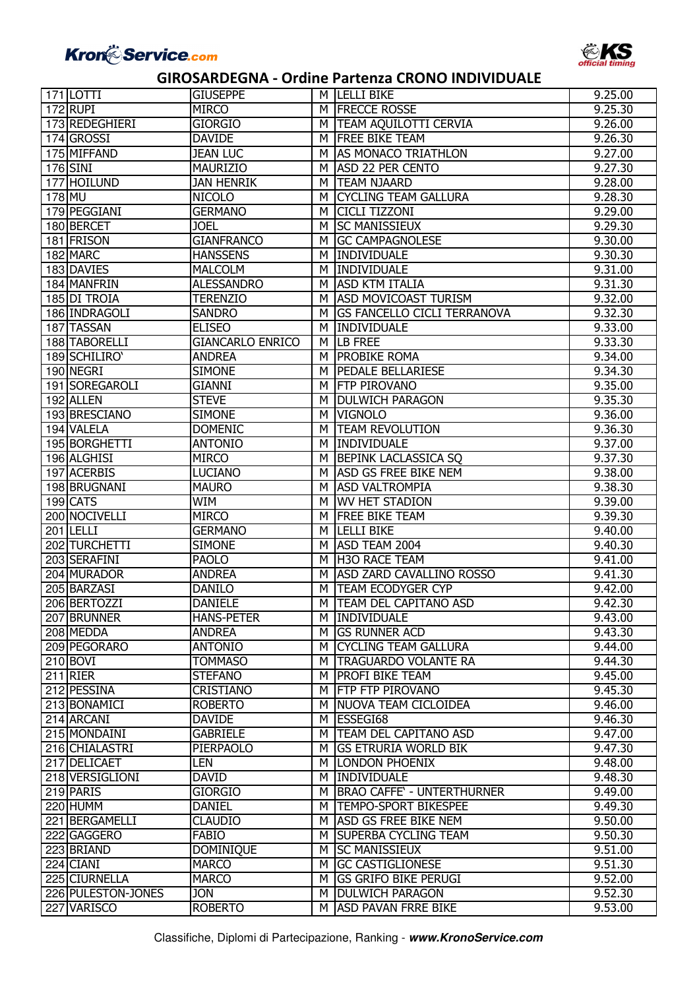

|        | $171$ LOTTI        | <b>GIUSEPPE</b>         |   | <b>M ILELLI BIKE</b>               | 9.25.00 |
|--------|--------------------|-------------------------|---|------------------------------------|---------|
|        | 172 RUPI           | <b>MIRCO</b>            |   | M FRECCE ROSSE                     | 9.25.30 |
|        | 173 REDEGHIERI     | <b>GIORGIO</b>          | м | <b>TEAM AQUILOTTI CERVIA</b>       | 9.26.00 |
|        | 174 GROSSI         | <b>DAVIDE</b>           | м | <b>FREE BIKE TEAM</b>              | 9.26.30 |
|        | 175 MIFFAND        | <b>JEAN LUC</b>         | м | AS MONACO TRIATHLON                | 9.27.00 |
|        | 176 SINI           | <b>MAURIZIO</b>         | м | <b>ASD 22 PER CENTO</b>            | 9.27.30 |
|        | 177 HOILUND        | <b>JAN HENRIK</b>       | м | <b>TEAM NJAARD</b>                 | 9.28.00 |
| 178 MU |                    | <b>NICOLO</b>           | м | <b>CYCLING TEAM GALLURA</b>        | 9.28.30 |
|        | 179 PEGGIANI       | <b>GERMANO</b>          | м | <b>CICLI TIZZONI</b>               | 9.29.00 |
|        | 180 BERCET         | <b>JOEL</b>             | м | <b>SC MANISSIEUX</b>               | 9.29.30 |
|        | 181 FRISON         | <b>GIANFRANCO</b>       | м | <b>GC CAMPAGNOLESE</b>             | 9.30.00 |
|        | 182 MARC           | <b>HANSSENS</b>         | м | INDIVIDUALE                        | 9.30.30 |
|        | 183 DAVIES         | <b>MALCOLM</b>          | м | INDIVIDUALE                        | 9.31.00 |
|        | 184 MANFRIN        | <b>ALESSANDRO</b>       | м | <b>ASD KTM ITALIA</b>              | 9.31.30 |
|        | 185 DI TROIA       | <b>TERENZIO</b>         | м | <b>ASD MOVICOAST TURISM</b>        | 9.32.00 |
|        | 186 INDRAGOLI      | <b>SANDRO</b>           | м | <b>GS FANCELLO CICLI TERRANOVA</b> | 9.32.30 |
|        | 187 TASSAN         | <b>ELISEO</b>           | м | <b>INDIVIDUALE</b>                 | 9.33.00 |
|        | 188 TABORELLI      | <b>GIANCARLO ENRICO</b> | M | <b>LB FREE</b>                     | 9.33.30 |
|        | 189 SCHILIRO'      | <b>ANDREA</b>           | м | <b>PROBIKE ROMA</b>                | 9.34.00 |
|        | 190 NEGRI          | <b>SIMONE</b>           | м | PEDALE BELLARIESE                  | 9.34.30 |
|        | 191 SOREGAROLI     | <b>GIANNI</b>           | м | <b>FTP PIROVANO</b>                | 9.35.00 |
|        | 192 ALLEN          | <b>STEVE</b>            | м | <b>DULWICH PARAGON</b>             | 9.35.30 |
|        | 193 BRESCIANO      | <b>SIMONE</b>           | м | <b>VIGNOLO</b>                     | 9.36.00 |
|        | 194 VALELA         | <b>DOMENIC</b>          | м | <b>TEAM REVOLUTION</b>             | 9.36.30 |
|        | 195 BORGHETTI      | <b>ANTONIO</b>          | м | INDIVIDUALE                        | 9.37.00 |
|        | 196 ALGHISI        | <b>MIRCO</b>            | м | <b>BEPINK LACLASSICA SQ</b>        | 9.37.30 |
|        | 197 ACERBIS        | <b>LUCIANO</b>          | м | <b>ASD GS FREE BIKE NEM</b>        | 9.38.00 |
|        | 198 BRUGNANI       | <b>MAURO</b>            | м | <b>ASD VALTROMPIA</b>              | 9.38.30 |
|        | 199 CATS           | <b>WIM</b>              | м | <b>WV HET STADION</b>              | 9.39.00 |
|        | 200 NOCIVELLI      | <b>MIRCO</b>            | м | <b>FREE BIKE TEAM</b>              | 9.39.30 |
|        | $201$ LELLI        | <b>GERMANO</b>          | м | <b>LELLI BIKE</b>                  | 9.40.00 |
|        | 202 TURCHETTI      | <b>SIMONE</b>           | м | ASD TEAM 2004                      | 9.40.30 |
|        | 203 SERAFINI       | <b>PAOLO</b>            | м | <b>H3O RACE TEAM</b>               | 9.41.00 |
|        | 204 MURADOR        | <b>ANDREA</b>           | м | ASD ZARD CAVALLINO ROSSO           | 9.41.30 |
|        | 205 BARZASI        | <b>DANILO</b>           | М | <b>TEAM ECODYGER CYP</b>           | 9.42.00 |
|        | 206 BERTOZZI       | <b>DANIELE</b>          | м | <b>TEAM DEL CAPITANO ASD</b>       | 9.42.30 |
|        | 207 BRUNNER        | <b>HANS-PETER</b>       |   | M INDIVIDUALE                      | 9.43.00 |
|        | 208 MEDDA          | <b>ANDREA</b>           | м | <b>GS RUNNER ACD</b>               | 9.43.30 |
|        | 209 PEGORARO       | <b>ANTONIO</b>          | M | <b>CYCLING TEAM GALLURA</b>        | 9.44.00 |
|        | 210 BOVI           | <b>TOMMASO</b>          | M | <b>TRAGUARDO VOLANTE RA</b>        | 9.44.30 |
|        | 211 RIER           | <b>STEFANO</b>          | м | <b>PROFI BIKE TEAM</b>             | 9.45.00 |
|        | 212 PESSINA        | <b>CRISTIANO</b>        | м | <b>FTP FTP PIROVANO</b>            | 9.45.30 |
|        | 213 BONAMICI       | <b>ROBERTO</b>          | м | NUOVA TEAM CICLOIDEA               | 9.46.00 |
|        | 214 ARCANI         | <b>DAVIDE</b>           | м | ESSEGI68                           | 9.46.30 |
|        | 215 MONDAINI       | <b>GABRIELE</b>         | M | <b>TEAM DEL CAPITANO ASD</b>       | 9.47.00 |
|        | 216 CHIALASTRI     | PIERPAOLO               | м | <b>GS ETRURIA WORLD BIK</b>        | 9.47.30 |
|        | 217 DELICAET       | LEN                     | м | <b>LONDON PHOENIX</b>              | 9.48.00 |
|        | 218 VERSIGLIONI    | <b>DAVID</b>            | м | <b>INDIVIDUALE</b>                 | 9.48.30 |
|        | 219 PARIS          | <b>GIORGIO</b>          | м | <b>BRAO CAFFE' - UNTERTHURNER</b>  | 9.49.00 |
|        | 220 HUMM           | <b>DANIEL</b>           | м | <b>TEMPO-SPORT BIKESPEE</b>        | 9.49.30 |
|        | 221 BERGAMELLI     | <b>CLAUDIO</b>          | м | <b>ASD GS FREE BIKE NEM</b>        | 9.50.00 |
|        | 222 GAGGERO        | <b>FABIO</b>            | м | <b>SUPERBA CYCLING TEAM</b>        | 9.50.30 |
|        | 223 BRIAND         | <b>DOMINIQUE</b>        | м | <b>SC MANISSIEUX</b>               | 9.51.00 |
|        | 224 CIANI          | <b>MARCO</b>            | м | <b>GC CASTIGLIONESE</b>            | 9.51.30 |
|        | 225 CIURNELLA      | <b>MARCO</b>            | м | <b>GS GRIFO BIKE PERUGI</b>        | 9.52.00 |
|        | 226 PULESTON-JONES | JON                     | м | <b>DULWICH PARAGON</b>             | 9.52.30 |
|        | 227 VARISCO        | <b>ROBERTO</b>          | м | <b>ASD PAVAN FRRE BIKE</b>         | 9.53.00 |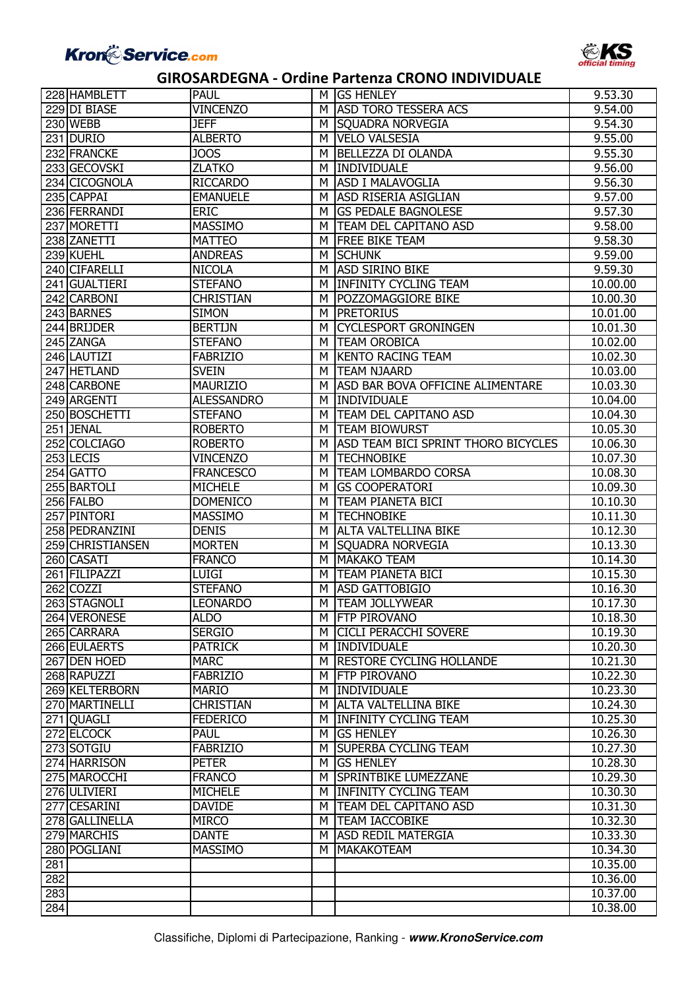

|     | 228 HAMBLETT     | <b>PAUL</b>       |   | M GS HENLEY                             | 9.53.30  |
|-----|------------------|-------------------|---|-----------------------------------------|----------|
|     | 229 DI BIASE     | <b>VINCENZO</b>   | м | <b>ASD TORO TESSERA ACS</b>             | 9.54.00  |
|     | 230 WEBB         | <b>JEFF</b>       | м | <b>SOUADRA NORVEGIA</b>                 | 9.54.30  |
|     | 231 DURIO        | <b>ALBERTO</b>    | м | <b>VELO VALSESIA</b>                    | 9.55.00  |
|     | 232 FRANCKE      | <b>JOOS</b>       | м | <b>BELLEZZA DI OLANDA</b>               | 9.55.30  |
|     | 233 GECOVSKI     | <b>ZLATKO</b>     | м | INDIVIDUALE                             | 9.56.00  |
|     | 234 CICOGNOLA    | <b>RICCARDO</b>   | м | <b>ASD I MALAVOGLIA</b>                 | 9.56.30  |
|     | 235 CAPPAI       | <b>EMANUELE</b>   | м | <b>ASD RISERIA ASIGLIAN</b>             | 9.57.00  |
|     | 236 FERRANDI     | <b>ERIC</b>       | м | <b>IGS PEDALE BAGNOLESE</b>             | 9.57.30  |
|     | 237 MORETTI      | <b>MASSIMO</b>    | м | <b>TEAM DEL CAPITANO ASD</b>            | 9.58.00  |
|     | 238 ZANETTI      | <b>MATTEO</b>     | м | <b>FREE BIKE TEAM</b>                   | 9.58.30  |
|     | 239 KUEHL        | <b>ANDREAS</b>    | м | <b>SCHUNK</b>                           | 9.59.00  |
|     | 240 CIFARELLI    | <b>NICOLA</b>     | м | <b>ASD SIRINO BIKE</b>                  | 9.59.30  |
|     | 241 GUALTIERI    | <b>STEFANO</b>    | м | <b>INFINITY CYCLING TEAM</b>            | 10.00.00 |
|     | 242 CARBONI      | <b>CHRISTIAN</b>  | М | POZZOMAGGIORE BIKE                      | 10.00.30 |
|     | 243 BARNES       | <b>SIMON</b>      | м | <b>PRETORIUS</b>                        | 10.01.00 |
|     | 244 BRIJDER      | <b>BERTIJN</b>    | м | <b>CYCLESPORT GRONINGEN</b>             | 10.01.30 |
|     | 245 ZANGA        | <b>STEFANO</b>    | м | <b>TEAM OROBICA</b>                     | 10.02.00 |
|     | 246 LAUTIZI      | <b>FABRIZIO</b>   | м | <b>KENTO RACING TEAM</b>                | 10.02.30 |
|     | 247 HETLAND      | <b>SVEIN</b>      | м | <b>TEAM NJAARD</b>                      | 10.03.00 |
|     | 248 CARBONE      | <b>MAURIZIO</b>   | м | <b>ASD BAR BOVA OFFICINE ALIMENTARE</b> | 10.03.30 |
|     | 249 ARGENTI      | <b>ALESSANDRO</b> | м | <b>INDIVIDUALE</b>                      | 10.04.00 |
|     | 250 BOSCHETTI    | <b>STEFANO</b>    | м | <b>TEAM DEL CAPITANO ASD</b>            | 10.04.30 |
|     | 251 JENAL        | <b>ROBERTO</b>    | м | <b>TEAM BIOWURST</b>                    | 10.05.30 |
|     | 252 COLCIAGO     | <b>ROBERTO</b>    | м | ASD TEAM BICI SPRINT THORO BICYCLES     | 10.06.30 |
|     | 253 LECIS        | <b>VINCENZO</b>   | м | <b>TECHNOBIKE</b>                       | 10.07.30 |
|     | 254 GATTO        | <b>FRANCESCO</b>  | м | <b>TEAM LOMBARDO CORSA</b>              | 10.08.30 |
|     | 255 BARTOLI      | <b>MICHELE</b>    | м | <b>IGS COOPERATORI</b>                  | 10.09.30 |
|     | 256 FALBO        | <b>DOMENICO</b>   | м | <b>TEAM PIANETA BICI</b>                | 10.10.30 |
|     | 257 PINTORI      | <b>MASSIMO</b>    | м | <b>TECHNOBIKE</b>                       | 10.11.30 |
|     | 258 PEDRANZINI   | <b>DENIS</b>      | м | <b>ALTA VALTELLINA BIKE</b>             | 10.12.30 |
|     | 259 CHRISTIANSEN | <b>MORTEN</b>     | м | <b>SQUADRA NORVEGIA</b>                 | 10.13.30 |
|     | 260 CASATI       | <b>FRANCO</b>     | м | <b>MAKAKO TEAM</b>                      | 10.14.30 |
|     | 261 FILIPAZZI    | LUIGI             | м | <b>TEAM PIANETA BICI</b>                | 10.15.30 |
|     | 262 COZZI        | <b>STEFANO</b>    | м | <b>ASD GATTOBIGIO</b>                   | 10.16.30 |
|     | 263 STAGNOLI     | <b>LEONARDO</b>   | м | <b>TEAM JOLLYWEAR</b>                   | 10.17.30 |
|     | 264 VERONESE     | <b>ALDO</b>       |   | M <b>FTP PIROVANO</b>                   | 10.18.30 |
|     | 265 CARRARA      | <b>SERGIO</b>     | M | <b>CICLI PERACCHI SOVERE</b>            | 10.19.30 |
|     | 266 EULAERTS     | <b>PATRICK</b>    | м | <b>INDIVIDUALE</b>                      | 10.20.30 |
|     | 267 DEN HOED     | <b>MARC</b>       | м | <b>RESTORE CYCLING HOLLANDE</b>         | 10.21.30 |
|     | 268 RAPUZZI      | <b>FABRIZIO</b>   | M | <b>IFTP PIROVANO</b>                    | 10.22.30 |
|     | 269 KELTERBORN   | <b>MARIO</b>      | M | <b>INDIVIDUALE</b>                      | 10.23.30 |
|     | 270 MARTINELLI   | <b>CHRISTIAN</b>  | M | <b>ALTA VALTELLINA BIKE</b>             | 10.24.30 |
|     | 271 QUAGLI       | <b>FEDERICO</b>   | м | <b>INFINITY CYCLING TEAM</b>            | 10.25.30 |
|     | 272 ELCOCK       | PAUL              | M | <b>GS HENLEY</b>                        | 10.26.30 |
|     | 273 SOTGIU       | <b>FABRIZIO</b>   | м | <b>ISUPERBA CYCLING TEAM</b>            | 10.27.30 |
|     | 274 HARRISON     | <b>PETER</b>      | M | <b>GS HENLEY</b>                        | 10.28.30 |
|     | 275 MAROCCHI     | <b>FRANCO</b>     | м | SPRINTBIKE LUMEZZANE                    | 10.29.30 |
|     | 276 ULIVIERI     | <b>MICHELE</b>    | M | <b>INFINITY CYCLING TEAM</b>            | 10.30.30 |
|     | 277 CESARINI     | <b>DAVIDE</b>     | M | <b>TEAM DEL CAPITANO ASD</b>            | 10.31.30 |
|     | 278 GALLINELLA   | <b>MIRCO</b>      | M | <b>TEAM IACCOBIKE</b>                   | 10.32.30 |
|     | 279 MARCHIS      | <b>DANTE</b>      | M | <b>ASD REDIL MATERGIA</b>               | 10.33.30 |
|     | 280 POGLIANI     | <b>MASSIMO</b>    | м | <b>MAKAKOTEAM</b>                       | 10.34.30 |
| 281 |                  |                   |   |                                         | 10.35.00 |
| 282 |                  |                   |   |                                         | 10.36.00 |
| 283 |                  |                   |   |                                         | 10.37.00 |
| 284 |                  |                   |   |                                         | 10.38.00 |
|     |                  |                   |   |                                         |          |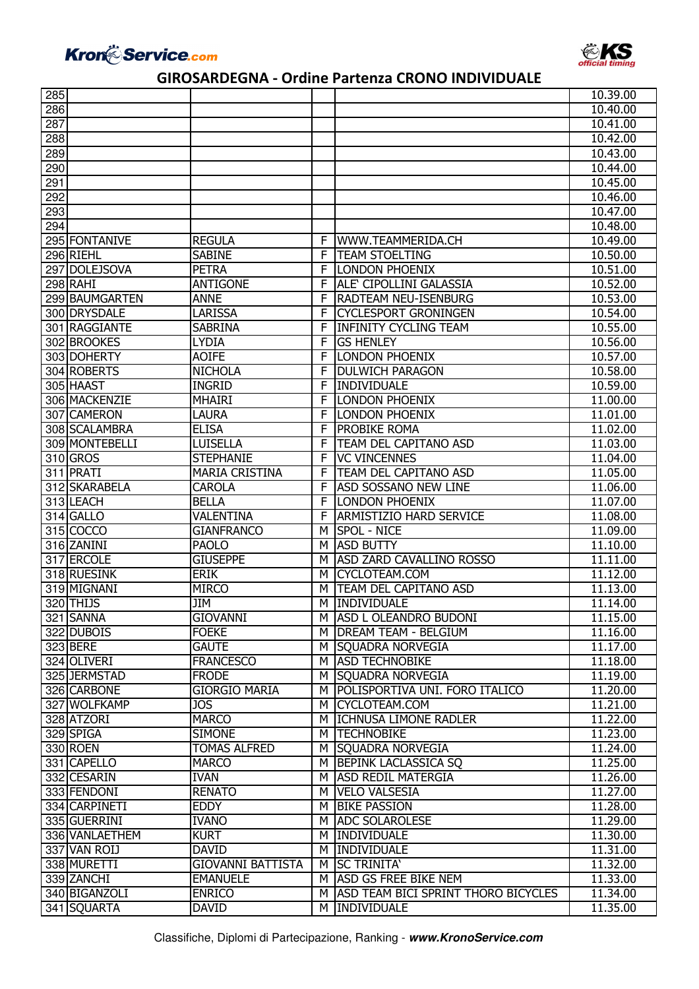



| 285 |                 |                          |    |                                            | 10.39.00             |
|-----|-----------------|--------------------------|----|--------------------------------------------|----------------------|
| 286 |                 |                          |    |                                            | 10.40.00             |
| 287 |                 |                          |    |                                            | 10.41.00             |
| 288 |                 |                          |    |                                            | 10.42.00             |
| 289 |                 |                          |    |                                            | 10.43.00             |
| 290 |                 |                          |    |                                            | 10.44.00             |
| 291 |                 |                          |    |                                            | 10.45.00             |
| 292 |                 |                          |    |                                            | 10.46.00             |
| 293 |                 |                          |    |                                            | 10.47.00             |
| 294 |                 |                          |    |                                            | 10.48.00             |
|     | 295 FONTANIVE   | <b>REGULA</b>            | F. | WWW.TEAMMERIDA.CH                          | 10.49.00             |
|     | 296 RIEHL       | <b>SABINE</b>            | F. | <b>TEAM STOELTING</b>                      | 10.50.00             |
|     | 297 DOLEJSOVA   | <b>PETRA</b>             | F  | <b>LONDON PHOENIX</b>                      | 10.51.00             |
|     | <b>298 RAHI</b> | <b>ANTIGONE</b>          | F  | ALE CIPOLLINI GALASSIA                     | 10.52.00             |
|     | 299 BAUMGARTEN  | <b>ANNE</b>              | F  | <b>RADTEAM NEU-ISENBURG</b>                | 10.53.00             |
|     | 300 DRYSDALE    | <b>LARISSA</b>           | F  | <b>CYCLESPORT GRONINGEN</b>                | 10.54.00             |
|     | 301 RAGGIANTE   | <b>SABRINA</b>           | F  | <b>INFINITY CYCLING TEAM</b>               | 10.55.00             |
|     | 302 BROOKES     | <b>LYDIA</b>             | F  | <b>GS HENLEY</b>                           | 10.56.00             |
|     | 303 DOHERTY     | <b>AOIFE</b>             | F  | <b>LONDON PHOENIX</b>                      | 10.57.00             |
|     | 304 ROBERTS     | <b>NICHOLA</b>           | F  | <b>DULWICH PARAGON</b>                     | 10.58.00             |
|     | 305 HAAST       | <b>INGRID</b>            | F  | <b>INDIVIDUALE</b>                         | 10.59.00             |
|     | 306 MACKENZIE   | <b>MHAIRI</b>            | F  | <b>LONDON PHOENIX</b>                      | 11,00,00             |
|     | 307 CAMERON     | LAURA                    | F  | <b>LONDON PHOENIX</b>                      | 11.01.00             |
|     | 308 SCALAMBRA   | <b>ELISA</b>             | F  | <b>PROBIKE ROMA</b>                        | 11.02.00             |
|     | 309 MONTEBELLI  | LUISELLA                 | F  | <b>TEAM DEL CAPITANO ASD</b>               | 11.03.00             |
|     | 310 GROS        | <b>STEPHANIE</b>         | F  | <b>VC VINCENNES</b>                        | 11.04.00             |
|     | 311 PRATI       | <b>MARIA CRISTINA</b>    | F  | <b>TEAM DEL CAPITANO ASD</b>               | 11.05.00             |
|     | 312 SKARABELA   | <b>CAROLA</b>            | F  | <b>ASD SOSSANO NEW LINE</b>                |                      |
|     | 313 LEACH       | <b>BELLA</b>             | F  | <b>LONDON PHOENIX</b>                      | 11.06.00<br>11.07.00 |
|     |                 | VALENTINA                | F  | <b>ARMISTIZIO HARD SERVICE</b>             |                      |
|     | 314 GALLO       |                          |    |                                            | 11.08.00             |
|     | 315 COCCO       | <b>GIANFRANCO</b>        | M  | <b>SPOL - NICE</b>                         | 11.09.00             |
|     | 316 ZANINI      | <b>PAOLO</b>             | M  | <b>ASD BUTTY</b>                           | 11.10.00             |
|     | 317 ERCOLE      | <b>GIUSEPPE</b>          | м  | <b>ASD ZARD CAVALLINO ROSSO</b>            | 11.11.00             |
|     | 318 RUESINK     | <b>ERIK</b>              | м  | CYCLOTEAM.COM                              | 11.12.00             |
|     | 319 MIGNANI     | <b>MIRCO</b>             | м  | <b>TEAM DEL CAPITANO ASD</b>               | 11.13.00             |
| Г   | 320 THIJS       | <b>JIM</b>               | М  | INDIVIDUALE                                | 11.14.00             |
|     | 321 SANNA       | <b>GIOVANNI</b>          |    | M ASD L OLEANDRO BUDONI                    | 11.15.00             |
|     | 322 DUBOIS      | <b>FOEKE</b>             | M  | <b>DREAM TEAM - BELGIUM</b>                | 11.16.00             |
|     | 323 BERE        | <b>GAUTE</b>             | м  | SQUADRA NORVEGIA                           | 11.17.00             |
|     | 324 OLIVERI     | <b>FRANCESCO</b>         | м  | <b>ASD TECHNOBIKE</b>                      | 11.18.00             |
|     | 325 JERMSTAD    | <b>FRODE</b>             | М  | <b>SQUADRA NORVEGIA</b>                    | 11.19.00             |
|     | 326 CARBONE     | <b>GIORGIO MARIA</b>     | м  | POLISPORTIVA UNI. FORO ITALICO             | 11.20.00             |
|     | 327 WOLFKAMP    | <b>JOS</b>               | М  | CYCLOTEAM.COM                              | 11.21.00             |
|     | 328 ATZORI      | <b>MARCO</b>             | м  | <b>ICHNUSA LIMONE RADLER</b>               | 11.22.00             |
|     | 329 SPIGA       | <b>SIMONE</b>            | м  | <b>TECHNOBIKE</b>                          | 11.23.00             |
|     | 330 ROEN        | <b>TOMAS ALFRED</b>      | м  | <b>SQUADRA NORVEGIA</b>                    | 11.24.00             |
|     | 331 CAPELLO     | <b>MARCO</b>             | м  | <b>BEPINK LACLASSICA SQ</b>                | 11.25.00             |
|     | 332 CESARIN     | <b>IVAN</b>              | м  | <b>ASD REDIL MATERGIA</b>                  | 11.26.00             |
|     | 333 FENDONI     | <b>RENATO</b>            | м  | <b>VELO VALSESIA</b>                       | 11.27.00             |
|     | 334 CARPINETI   | <b>EDDY</b>              | м  | <b>BIKE PASSION</b>                        | 11.28.00             |
|     | 335 GUERRINI    | <b>IVANO</b>             | M  | <b>ADC SOLAROLESE</b>                      | 11.29.00             |
|     | 336 VANLAETHEM  | <b>KURT</b>              | м  | INDIVIDUALE                                | 11.30.00             |
|     | 337 VAN ROIJ    | <b>DAVID</b>             | м  | <b>INDIVIDUALE</b>                         | 11.31.00             |
|     | 338 MURETTI     | <b>GIOVANNI BATTISTA</b> | м  | <b>SC TRINITA'</b>                         | 11.32.00             |
|     | 339 ZANCHI      | <b>EMANUELE</b>          | м  | <b>ASD GS FREE BIKE NEM</b>                | 11.33.00             |
|     | 340 BIGANZOLI   | <b>ENRICO</b>            | м  | <b>ASD TEAM BICI SPRINT THORO BICYCLES</b> | 11.34.00             |
|     | 341 SQUARTA     | <b>DAVID</b>             | м  | <b>INDIVIDUALE</b>                         | 11.35.00             |